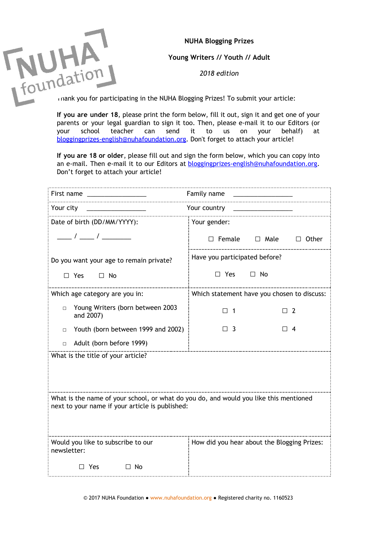**NUHA Blogging Prizes**

**Young Writers // Youth // Adult**

*2018 edition*

**If you are under 18**, please print the form below, fill it out, sign it and get one of your parents or your legal guardian to sign it too. Then, please e-mail it to our Editors (or your school teacher can send it to us on your behalf) at [bloggingprizes-english@nuhafoundation.org](mailto:bloggingprizes@nuhafoundation.org). Don't forget to attach your article!

**If you are 18 or older**, please fill out and sign the form below, which you can copy into an e-mail. Then e-mail it to our Editors at **bloggingprizes-english@nuhafoundation.org**. Don't forget to attach your article!

| Family name<br>First name _________________                                                                                              |                                             |
|------------------------------------------------------------------------------------------------------------------------------------------|---------------------------------------------|
| Your city<br>Your country ______                                                                                                         |                                             |
| Date of birth (DD/MM/YYYY):                                                                                                              | Your gender:                                |
| $\frac{\frac{1}{2}}{2}$ / $\frac{\frac{1}{2}}{2}$ / $\frac{\frac{1}{2}}{2}$                                                              | $\Box$ Female $\Box$ Male $\Box$ Other      |
| Do you want your age to remain private?                                                                                                  | Have you participated before?               |
| $\Box$ Yes $\Box$ No                                                                                                                     | $\Box$ Yes<br>$\Box$ No                     |
| Which age category are you in:                                                                                                           | Which statement have you chosen to discuss: |
| Young Writers (born between 2003<br>$\Box$<br>and 2007)                                                                                  | $\Box$ 1<br>$\Box$ 2                        |
| Youth (born between 1999 and 2002)<br>$\Box$                                                                                             | $\Box$ 3<br>$\Box$ 4                        |
| Adult (born before 1999)<br>$\Box$                                                                                                       |                                             |
| What is the title of your article?                                                                                                       |                                             |
|                                                                                                                                          |                                             |
| What is the name of your school, or what do you do, and would you like this mentioned<br>next to your name if your article is published: |                                             |
| Would you like to subscribe to our<br>newsletter:                                                                                        | How did you hear about the Blogging Prizes: |
| $\Box$ No<br>$\Box$ Yes                                                                                                                  |                                             |